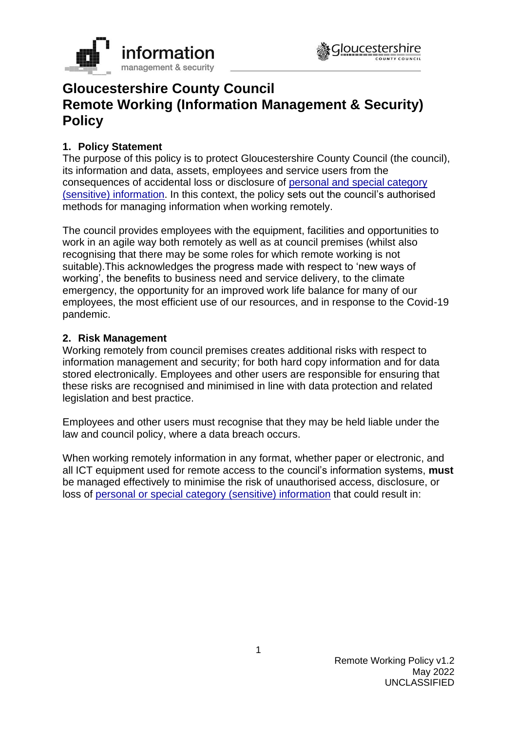



# **Gloucestershire County Council Remote Working (Information Management & Security) Policy**

## **1. Policy Statement**

The purpose of this policy is to protect Gloucestershire County Council (the council), its information and data, assets, employees and service users from the consequences of accidental loss or disclosure of personal and [special category](https://staffnet.gloucestershire.gov.uk/internal-services/information-management-service/data-protection-gdpr-what-does-the-law-say/what-are-the-types-of-personal-data/#main)  (sensitive) [information.](https://staffnet.gloucestershire.gov.uk/internal-services/information-management-service/data-protection-gdpr-what-does-the-law-say/what-are-the-types-of-personal-data/#main) In this context, the policy sets out the council's authorised methods for managing information when working remotely.

The council provides employees with the equipment, facilities and opportunities to work in an agile way both remotely as well as at council premises (whilst also recognising that there may be some roles for which remote working is not suitable).This acknowledges the progress made with respect to 'new ways of working', the benefits to business need and service delivery, to the climate emergency, the opportunity for an improved work life balance for many of our employees, the most efficient use of our resources, and in response to the Covid-19 pandemic.

#### **2. Risk Management**

Working remotely from council premises creates additional risks with respect to information management and security; for both hard copy information and for data stored electronically. Employees and other users are responsible for ensuring that these risks are recognised and minimised in line with data protection and related legislation and best practice.

Employees and other users must recognise that they may be held liable under the law and council policy, where a data breach occurs.

When working remotely information in any format, whether paper or electronic, and all ICT equipment used for remote access to the council's information systems, **must** be managed effectively to minimise the risk of unauthorised access, disclosure, or loss of [personal or special category \(sensitive\)](https://staffnet.gloucestershire.gov.uk/internal-services/information-management-service/data-protection-gdpr-what-does-the-law-say/what-are-the-types-of-personal-data/#main) information that could result in: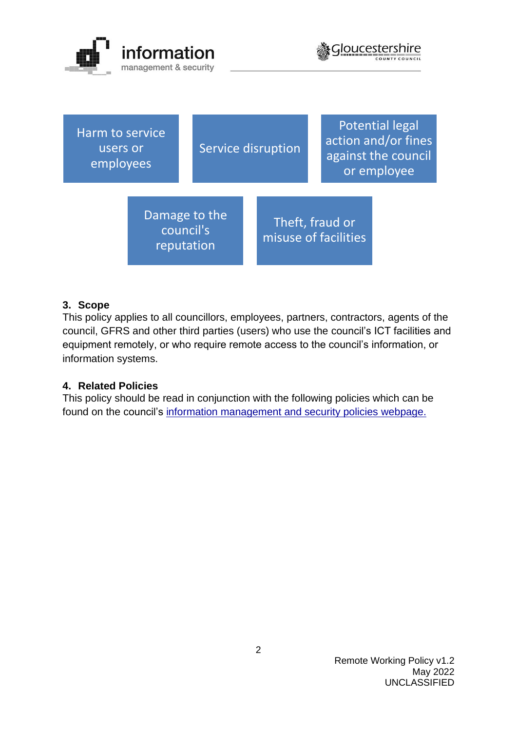



| Harm to service<br>users or<br>employees |                                          | Service disruption |  |                                         | <b>Potential legal</b><br>action and/or fines<br>against the council<br>or employee |  |
|------------------------------------------|------------------------------------------|--------------------|--|-----------------------------------------|-------------------------------------------------------------------------------------|--|
|                                          | Damage to the<br>council's<br>reputation |                    |  | Theft, fraud or<br>misuse of facilities |                                                                                     |  |

## **3. Scope**

This policy applies to all councillors, employees, partners, contractors, agents of the council, GFRS and other third parties (users) who use the council's ICT facilities and equipment remotely, or who require remote access to the council's information, or information systems.

## **4. Related Policies**

This policy should be read in conjunction with the following policies which can be found on the council's [information management and security policies](https://www.gloucestershire.gov.uk/council-and-democracy/strategies-plans-policies/information-management-and-security-policies/) webpage.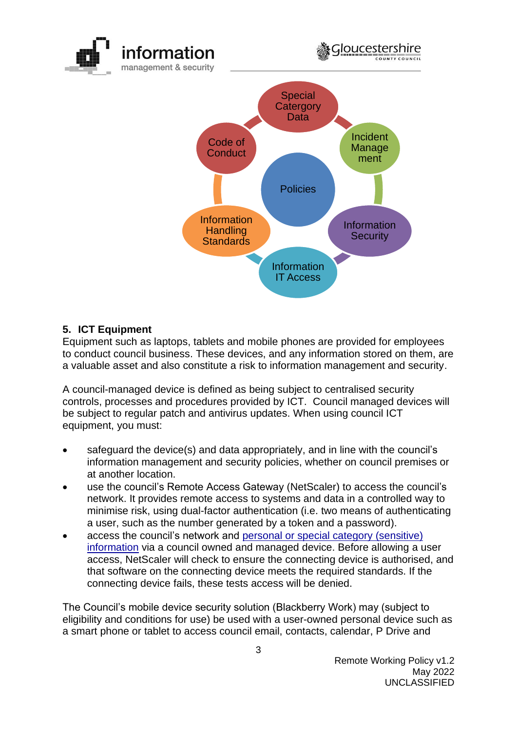

## **5. ICT Equipment**

Equipment such as laptops, tablets and mobile phones are provided for employees to conduct council business. These devices, and any information stored on them, are a valuable asset and also constitute a risk to information management and security.

A council-managed device is defined as being subject to centralised security controls, processes and procedures provided by ICT. Council managed devices will be subject to regular patch and antivirus updates. When using council ICT equipment, you must:

- safeguard the device(s) and data appropriately, and in line with the council's information management and security policies, whether on council premises or at another location.
- use the council's Remote Access Gateway (NetScaler) to access the council's network. It provides remote access to systems and data in a controlled way to minimise risk, using dual-factor authentication (i.e. two means of authenticating a user, such as the number generated by a token and a password).
- access the council's network and personal or [special category \(sensitive\)](https://staffnet.gloucestershire.gov.uk/internal-services/information-management-service/data-protection-gdpr-what-does-the-law-say/what-are-the-types-of-personal-data/#main) [information](https://staffnet.gloucestershire.gov.uk/internal-services/information-management-service/data-protection-gdpr-what-does-the-law-say/what-are-the-types-of-personal-data/#main) via a council owned and managed device. Before allowing a user access, NetScaler will check to ensure the connecting device is authorised, and that software on the connecting device meets the required standards. If the connecting device fails, these tests access will be denied.

The Council's mobile device security solution (Blackberry Work) may (subject to eligibility and conditions for use) be used with a user-owned personal device such as a smart phone or tablet to access council email, contacts, calendar, P Drive and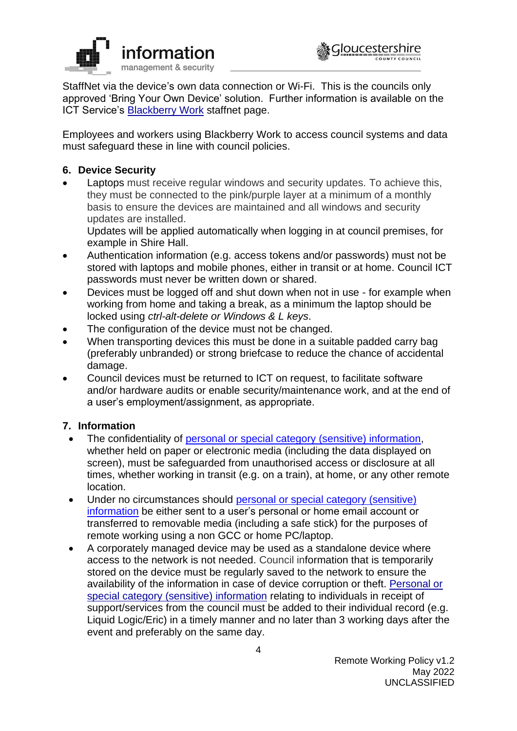



StaffNet via the device's own data connection or Wi-Fi. This is the councils only approved 'Bring Your Own Device' solution. Further information is available on the ICT Service's [Blackberry Work](https://staffnet.gloucestershire.gov.uk/internal-services/the-ict-service/apply-for-network-access-software-applications/apply-for-applications/blackberry-work/) staffnet page.

Employees and workers using Blackberry Work to access council systems and data must safeguard these in line with council policies.

## **6. Device Security**

Laptops must receive regular windows and security updates. To achieve this, they must be connected to the pink/purple layer at a minimum of a monthly basis to ensure the devices are maintained and all windows and security updates are installed.

Updates will be applied automatically when logging in at council premises, for example in Shire Hall.

- Authentication information (e.g. access tokens and/or passwords) must not be stored with laptops and mobile phones, either in transit or at home. Council ICT passwords must never be written down or shared.
- Devices must be logged off and shut down when not in use for example when working from home and taking a break, as a minimum the laptop should be locked using *ctrl-alt-delete or Windows & L keys*.
- The configuration of the device must not be changed.
- When transporting devices this must be done in a suitable padded carry bag (preferably unbranded) or strong briefcase to reduce the chance of accidental damage.
- Council devices must be returned to ICT on request, to facilitate software and/or hardware audits or enable security/maintenance work, and at the end of a user's employment/assignment, as appropriate.

## **7. Information**

- The confidentiality of [personal or special category \(sensitive\) information,](https://staffnet.gloucestershire.gov.uk/internal-services/information-management-service/data-protection-gdpr-what-does-the-law-say/what-are-the-types-of-personal-data/#main) whether held on paper or electronic media (including the data displayed on screen), must be safeguarded from unauthorised access or disclosure at all times, whether working in transit (e.g. on a train), at home, or any other remote location.
- Under no circumstances should personal or special category (sensitive) [information](https://staffnet.gloucestershire.gov.uk/internal-services/information-management-service/data-protection-gdpr-what-does-the-law-say/what-are-the-types-of-personal-data/#main) be either sent to a user's personal or home email account or transferred to removable media (including a safe stick) for the purposes of remote working using a non GCC or home PC/laptop.
- A corporately managed device may be used as a standalone device where access to the network is not needed. Council information that is temporarily stored on the device must be regularly saved to the network to ensure the availability of the information in case of device corruption or theft. [Personal or](https://staffnet.gloucestershire.gov.uk/internal-services/information-management-service/data-protection-gdpr-what-does-the-law-say/what-are-the-types-of-personal-data/#main)  [special category \(sensitive\) information](https://staffnet.gloucestershire.gov.uk/internal-services/information-management-service/data-protection-gdpr-what-does-the-law-say/what-are-the-types-of-personal-data/#main) relating to individuals in receipt of support/services from the council must be added to their individual record (e.g. Liquid Logic/Eric) in a timely manner and no later than 3 working days after the event and preferably on the same day.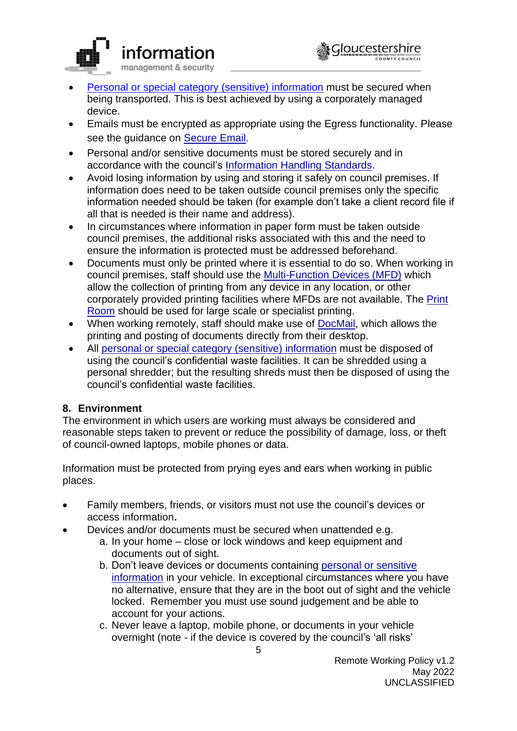

- [Personal or special category \(sensitive\) information](https://staffnet.gloucestershire.gov.uk/internal-services/information-management-service/data-protection-gdpr-what-does-the-law-say/what-are-the-types-of-personal-data/#main) must be secured when being transported. This is best achieved by using a corporately managed device.
- Emails must be encrypted as appropriate using the Egress functionality. Please see the guidance on [Secure Email.](https://staffnet.gloucestershire.gov.uk/internal-services/information-management-service/secure-email-egress-switch/)
- Personal and/or sensitive documents must be stored securely and in accordance with the council's [Information Handling Standards.](https://staffnet.gloucestershire.gov.uk/media/222474/information-protection-and-handling-standards.pdf)
- Avoid losing information by using and storing it safely on council premises. If information does need to be taken outside council premises only the specific information needed should be taken (for example don't take a client record file if all that is needed is their name and address).
- In circumstances where information in paper form must be taken outside council premises, the additional risks associated with this and the need to ensure the information is protected must be addressed beforehand.
- Documents must only be printed where it is essential to do so. When working in council premises, staff should use the [Multi-Function Devices \(MFD\)](https://staffnet.gloucestershire.gov.uk/internal-services/asset-management-and-property-services/shire-hall/printing/) which allow the collection of printing from any device in any location, or other corporately provided printing facilities where MFDs are not available. The [Print](https://staffnet.gloucestershire.gov.uk/internal-services/communications/print-room/)  [Room](https://staffnet.gloucestershire.gov.uk/internal-services/communications/print-room/) should be used for large scale or specialist printing.
- When working remotely, staff should make use of [DocMail,](https://staffnet.gloucestershire.gov.uk/internal-services/printing/docmail-print-to-post/) which allows the printing and posting of documents directly from their desktop.
- All [personal or special category \(sensitive\)](https://staffnet.gloucestershire.gov.uk/internal-services/information-management-service/data-protection-gdpr-what-does-the-law-say/what-are-the-types-of-personal-data/#main) information must be disposed of using the council's confidential waste facilities. It can be shredded using a personal shredder; but the resulting shreds must then be disposed of using the council's confidential waste facilities.

## **8. Environment**

The environment in which users are working must always be considered and reasonable steps taken to prevent or reduce the possibility of damage, loss, or theft of council-owned laptops, mobile phones or data.

Information must be protected from prying eyes and ears when working in public places.

- Family members, friends, or visitors must not use the council's devices or access information**.**
- Devices and/or documents must be secured when unattended e.g.
	- a. In your home close or lock windows and keep equipment and documents out of sight.
	- b. Don't leave devices or documents containing personal or sensitive [information](https://staffnet.gloucestershire.gov.uk/internal-services/information-management-service/data-protection-gdpr-what-does-the-law-say/what-are-the-types-of-personal-data/#main) in your vehicle. In exceptional circumstances where you have no alternative, ensure that they are in the boot out of sight and the vehicle locked. Remember you must use sound judgement and be able to account for your actions.
	- c. Never leave a laptop, mobile phone, or documents in your vehicle overnight (note - if the device is covered by the council's 'all risks'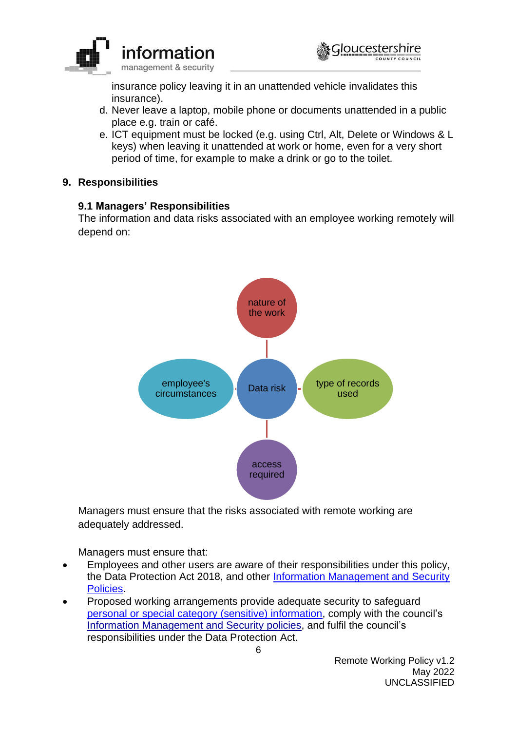



insurance policy leaving it in an unattended vehicle invalidates this insurance).

- d. Never leave a laptop, mobile phone or documents unattended in a public place e.g. train or café.
- e. ICT equipment must be locked (e.g. using Ctrl, Alt, Delete or Windows & L keys) when leaving it unattended at work or home, even for a very short period of time, for example to make a drink or go to the toilet.

#### **9. Responsibilities**

## **9.1 Managers' Responsibilities**

The information and data risks associated with an employee working remotely will depend on:



Managers must ensure that the risks associated with remote working are adequately addressed.

Managers must ensure that:

- Employees and other users are aware of their responsibilities under this policy, the Data Protection Act 2018, and other [Information Management and Security](http://www.gloucestershire.gov.uk/council-and-democracy/strategies-plans-policies/information-management-and-security-policies/)  [Policies.](http://www.gloucestershire.gov.uk/council-and-democracy/strategies-plans-policies/information-management-and-security-policies/)
- Proposed working arrangements provide adequate security to safeguard [personal or special category \(sensitive\) information,](https://staffnet.gloucestershire.gov.uk/internal-services/information-management-service/data-protection-gdpr-what-does-the-law-say/what-are-the-types-of-personal-data/#main) comply with the council's [Information Management and Security](https://www.gloucestershire.gov.uk/council-and-democracy/strategies-plans-policies/information-management-and-security-policies/) policies, and fulfil the council's responsibilities under the Data Protection Act.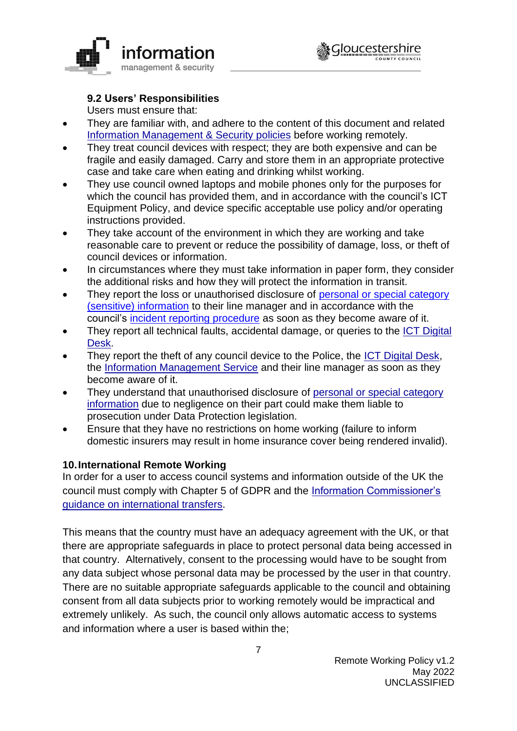

# **9.2 Users' Responsibilities**

Users must ensure that:

- They are familiar with, and adhere to the content of this document and related [Information Management & Security policies](https://www.gloucestershire.gov.uk/council-and-democracy/strategies-plans-policies/information-management-and-security-policies/) before working remotely.
- They treat council devices with respect; they are both expensive and can be fragile and easily damaged. Carry and store them in an appropriate protective case and take care when eating and drinking whilst working.
- They use council owned laptops and mobile phones only for the purposes for which the council has provided them, and in accordance with the council's ICT Equipment Policy, and device specific acceptable use policy and/or operating instructions provided.
- They take account of the environment in which they are working and take reasonable care to prevent or reduce the possibility of damage, loss, or theft of council devices or information.
- In circumstances where they must take information in paper form, they consider the additional risks and how they will protect the information in transit.
- They report the loss or unauthorised disclosure of personal or special category [\(sensitive\) information](https://staffnet.gloucestershire.gov.uk/internal-services/information-management-service/data-protection-gdpr-what-does-the-law-say/what-are-the-types-of-personal-data/#main) to their line manager and in accordance with the council's [incident reporting procedure](https://staffnet.gloucestershire.gov.uk/internal-services/information-management-service/information-security-incidents/) as soon as they become aware of it.
- They report all technical faults, accidental damage, or queries to the [ICT Digital](https://staffnet.gloucestershire.gov.uk/internal-services/the-ict-service/)  [Desk.](https://staffnet.gloucestershire.gov.uk/internal-services/the-ict-service/)
- They report the theft of any council device to the Police, the [ICT Digital Desk,](https://staffnet.gloucestershire.gov.uk/internal-services/the-ict-service/) the [Information Management Service](https://staffnet.gloucestershire.gov.uk/internal-services/information-management-service/information-security-incidents/) and their line manager as soon as they become aware of it.
- They understand that unauthorised disclosure of [personal or special category](https://staffnet.gloucestershire.gov.uk/internal-services/information-management-service/data-protection-gdpr-what-does-the-law-say/what-are-the-types-of-personal-data/#main)  [information](https://staffnet.gloucestershire.gov.uk/internal-services/information-management-service/data-protection-gdpr-what-does-the-law-say/what-are-the-types-of-personal-data/#main) due to negligence on their part could make them liable to prosecution under Data Protection legislation.
- Ensure that they have no restrictions on home working (failure to inform domestic insurers may result in home insurance cover being rendered invalid).

## **10.International Remote Working**

In order for a user to access council systems and information outside of the UK the council must comply with Chapter 5 of GDPR and the [Information Commissioner's](https://ico.org.uk/for-organisations/guide-to-data-protection/guide-to-the-general-data-protection-regulation-gdpr/international-transfers-after-uk-exit/)  [guidance on international transfers.](https://ico.org.uk/for-organisations/guide-to-data-protection/guide-to-the-general-data-protection-regulation-gdpr/international-transfers-after-uk-exit/)

This means that the country must have an adequacy agreement with the UK, or that there are appropriate safeguards in place to protect personal data being accessed in that country. Alternatively, consent to the processing would have to be sought from any data subject whose personal data may be processed by the user in that country. There are no suitable appropriate safeguards applicable to the council and obtaining consent from all data subjects prior to working remotely would be impractical and extremely unlikely. As such, the council only allows automatic access to systems and information where a user is based within the;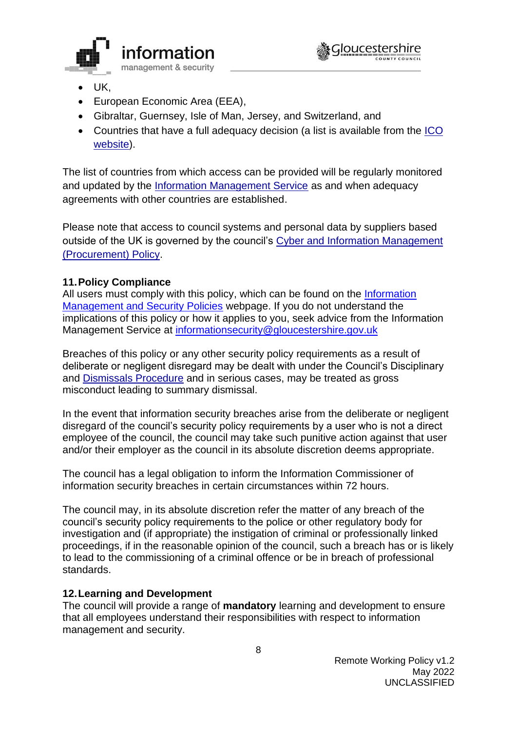

- UK,
- European Economic Area (EEA),
- Gibraltar, Guernsey, Isle of Man, Jersey, and Switzerland, and
- Countries that have a full adequacy decision (a list is available from the [ICO](https://ico.org.uk/for-organisations/guide-to-data-protection/guide-to-the-general-data-protection-regulation-gdpr/international-transfers-after-uk-exit/#arewemaking)  [website\)](https://ico.org.uk/for-organisations/guide-to-data-protection/guide-to-the-general-data-protection-regulation-gdpr/international-transfers-after-uk-exit/#arewemaking).

The list of countries from which access can be provided will be regularly monitored and updated by the [Information Management Service](https://staffnet.gloucestershire.gov.uk/internal-services/information-management-service/information-security-incidents/) as and when adequacy agreements with other countries are established.

Please note that access to council systems and personal data by suppliers based outside of the UK is governed by the council's [Cyber and Information Management](https://www.gloucestershire.gov.uk/media/2103619/cyber-information-management-procurement-policy-v1-2.pdf)  [\(Procurement\) Policy.](https://www.gloucestershire.gov.uk/media/2103619/cyber-information-management-procurement-policy-v1-2.pdf)

## **11.Policy Compliance**

All users must comply with this policy, which can be found on the Information [Management and Security Policies](http://www.gloucestershire.gov.uk/council-and-democracy/strategies-plans-policies/information-management-and-security-policies/) webpage. If you do not understand the implications of this policy or how it applies to you, seek advice from the Information Management Service at [informationsecurity@gloucestershire.gov.uk](mailto:informationsecurity@gloucestershire.gov.uk)

Breaches of this policy or any other security policy requirements as a result of deliberate or negligent disregard may be dealt with under the Council's Disciplinary and [Dismissals Procedure](https://staffnet.gloucestershire.gov.uk/employee-information-and-support/hr-and-employment-handbook/disciplinary-and-dismissals/) and in serious cases, may be treated as gross misconduct leading to summary dismissal.

In the event that information security breaches arise from the deliberate or negligent disregard of the council's security policy requirements by a user who is not a direct employee of the council, the council may take such punitive action against that user and/or their employer as the council in its absolute discretion deems appropriate.

The council has a legal obligation to inform the Information Commissioner of information security breaches in certain circumstances within 72 hours.

The council may, in its absolute discretion refer the matter of any breach of the council's security policy requirements to the police or other regulatory body for investigation and (if appropriate) the instigation of criminal or professionally linked proceedings, if in the reasonable opinion of the council, such a breach has or is likely to lead to the commissioning of a criminal offence or be in breach of professional standards.

## **12.Learning and Development**

The council will provide a range of **mandatory** learning and development to ensure that all employees understand their responsibilities with respect to information management and security.